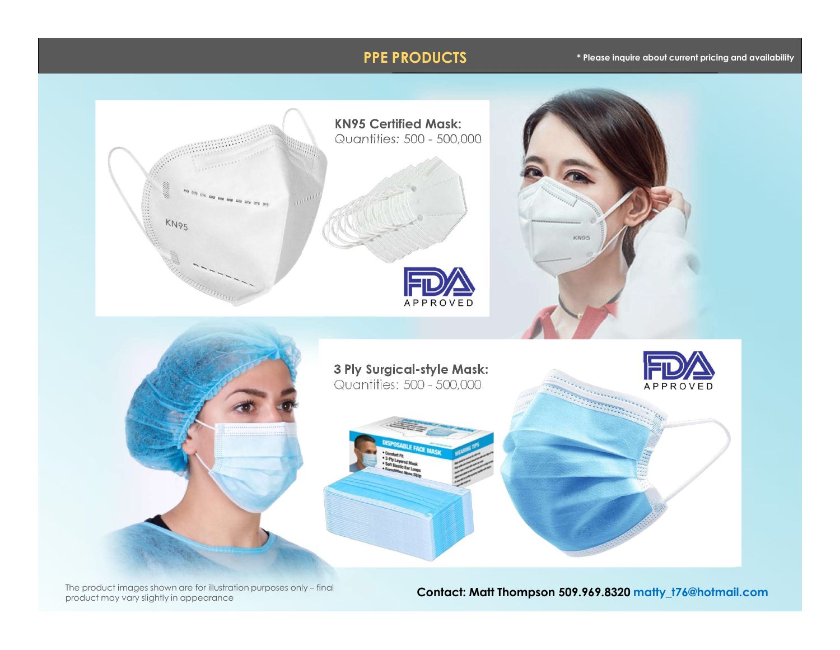# PPE PRODUCTS

### \* Please inquire about current pricing and availability



product may vary slightly in appearance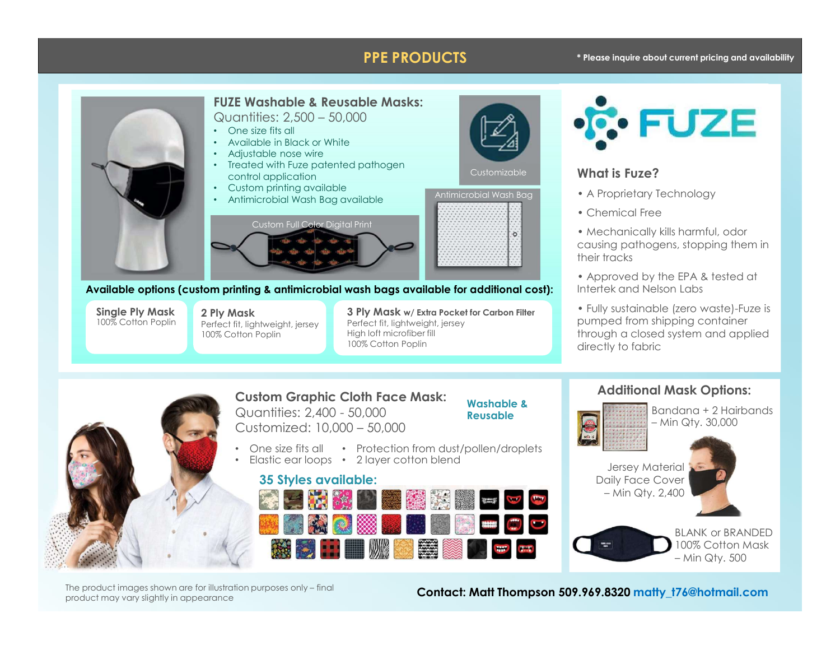### **PPE PRODUCTS** \* Please inquire about current pricing and availability





FUZE Washable & Reusable Masks:

Available options (custom printing & antimicrobial wash bags available for additional cost):

**Single Ply Mask 2 Ply Mask**<br>100% Cotton Poplin Perfect fit light

100% Cotton Poplin

100% Cotton Poplin **Perfect fit, lightweight, jersey** Perfect fit, lightweight, jersey 2 Ply Mask and Booker of Carbon Filter Carbon Filter Conservation of the SUSTAIN SUSTAIN Perfect fit, lightweight, jersey High loft microfiber fill 100% Cotton Poplin



### Customizable **Customizable Microsoft Customizable Customizable Customizable Customizable Customization**

- A Proprietary Technology Antimicrobial Wash Bag
	- Chemical Free
	- Mechanically kills harmful, odor causing pathogens, stopping them in their tracks
	- Approved by the EPA & tested at Intertek and Nelson Labs
- Fully sustainable (zero waste)-Fuze is pumped from shipping container through a closed system and applied directly to fabric ?<br>
Technology<br>
be<br>
be<br>
y kills harmful, odor<br>
gens, stopping them in<br>
the EPA & tested at<br>
shipping container<br>
be (zero waste)-Fuze is<br>
ed system and applied<br>
ic<br> **al Mask Options:**<br>
Bandana + 2 Hairbands<br>
- Min Qty, 30,00 Erica resided and<br>
Labs<br>
zero waste)-Fuze is<br>
sing container<br>
stem and applied<br> **ask Options:**<br>
dana + 2 Hairbands<br>
Qty. 30,000<br> **al**<br> **ar**<br> **Proper Contains Container And Contains 2007<br>
<b>DOPS** Cotton Mask<br>
— Min Qty. 500<br>



Custom Graphic Cloth Face Mask:

# Washable &

• One size fits all • Protection from dust/pollen/droplets

• One size fits all • Protection from dust/p<br>• Elastic ear loops • 2 layer cotton blend<br>**35 Styles available:** • 2 layer cotton blend and the contract of the contract of the contract of the contract of the contract of the contract of the contract of the contract of the contract of the contract of the contract of the contract of the







BLANK or BRANDED 100% Cotton Mask

product may vary slightly in appearance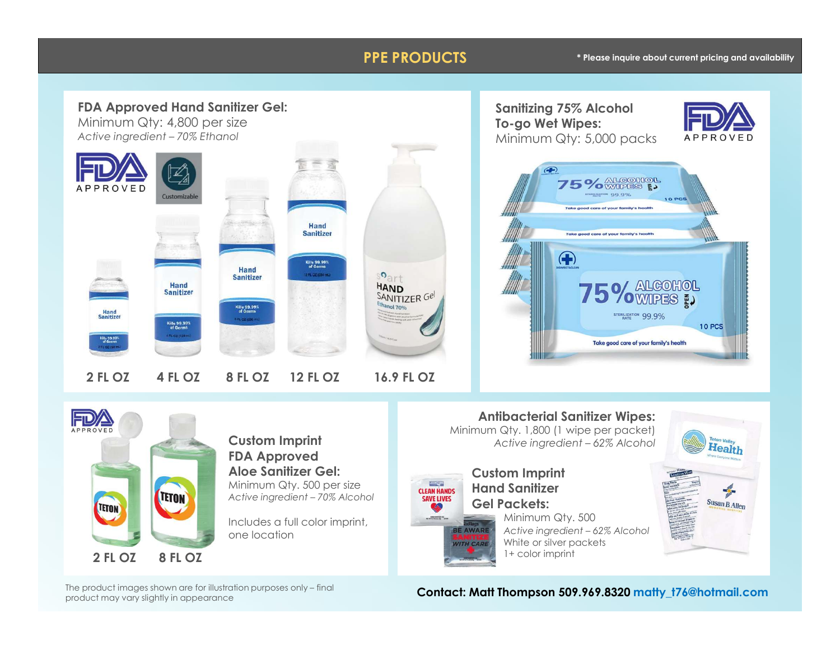### **PPE PRODUCTS** \* Please inquire about current pricing and availability





# Custom Imprint FDA Approved Aloe Sanitizer Gel: Minimum Qty. 500 per size<br>Active ingredient – 70% Alcohol save Lives

Includes a full color imprint, one location<br> **EXAMPLE SANTIZE** 

Antibacterial Sanitizer Wipes: Minimum Qty. 1,800 (1 wipe per packet)

Minimum Qty. 500

White or silver packets 1+ color imprint

Custom Imprint Hand Sanitizer Gel Packets:

product may vary slightly in appearance